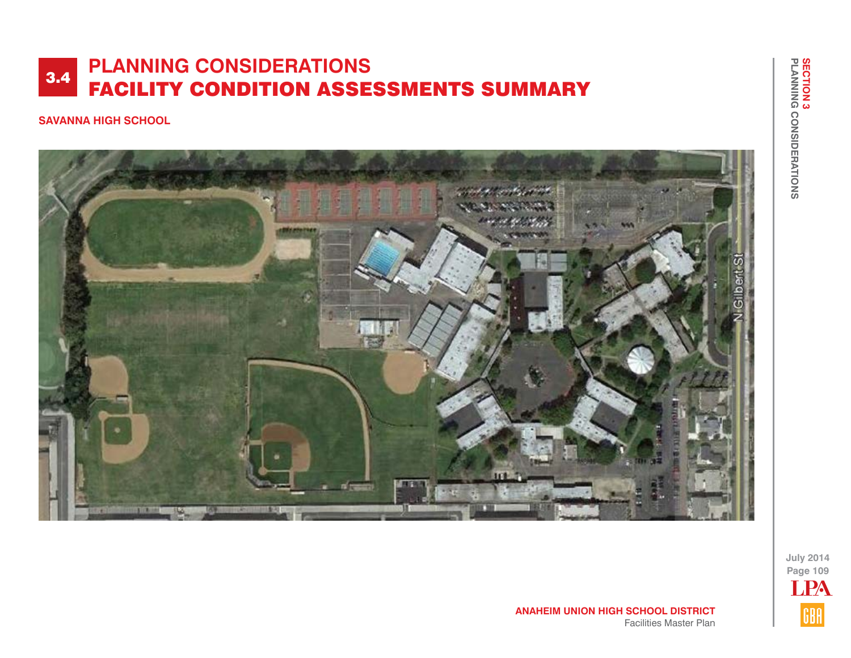#### **SAVANNA HIGH SCHOOL**



**July 2014 Page 109** LPAGBA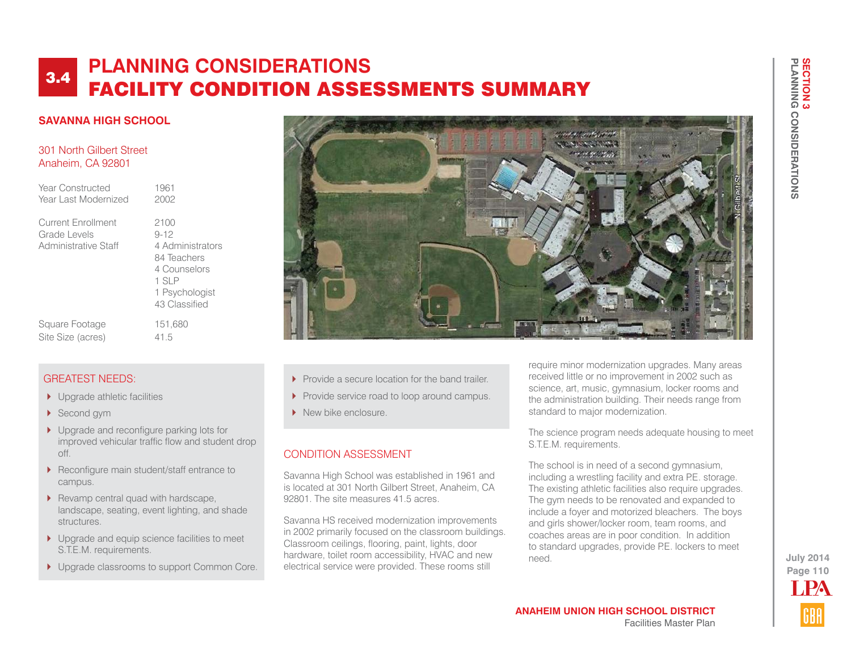#### **SAVANNA HIGH SCHOOL**

#### 301 North Gilbert Street Anaheim, CA 92801

| Year Constructed<br>Year Last Modernized                   | 1961<br>2002                                                                                                    |
|------------------------------------------------------------|-----------------------------------------------------------------------------------------------------------------|
| Current Enrollment<br>Grade Levels<br>Administrative Staff | 2100<br>$9 - 12$<br>4 Administrators<br>84 Teachers<br>4 Counselors<br>1 SLP<br>1 Psychologist<br>43 Classified |
|                                                            |                                                                                                                 |

Square Footage 151,680 Site Size (acres) 41.5

### GREATEST NEEDS:

- ▶ Upgrade athletic facilities
- Second gym
- ▶ Upgrade and reconfigure parking lots for improved vehicular traffic flow and student drop off.
- ▶ Reconfigure main student/staff entrance to campus.
- $\blacktriangleright$  Revamp central quad with hardscape, landscape, seating, event lighting, and shade structures.
- ▶ Upgrade and equip science facilities to meet S.T.E.M. requirements.
- **I** Upgrade classrooms to support Common Core.



- Provide a secure location for the band trailer.
- Provide service road to loop around campus.
- New bike enclosure.

## CONDITION ASSESSMENT

Savanna High School was established in 1961 and is located at 301 North Gilbert Street, Anaheim, CA 92801. The site measures 41.5 acres.

Savanna HS received modernization improvements in 2002 primarily focused on the classroom buildings. Classroom ceilings, flooring, paint, lights, door hardware, toilet room accessibility, HVAC and new electrical service were provided. These rooms still

require minor modernization upgrades. Many areas received little or no improvement in 2002 such as science, art, music, gymnasium, locker rooms and the administration building. Their needs range from standard to major modernization.

The science program needs adequate housing to meet S.T.E.M. requirements.

The school is in need of a second gymnasium, including a wrestling facility and extra P.E. storage. The existing athletic facilities also require upgrades. The gym needs to be renovated and expanded to include a foyer and motorized bleachers. The boys and girls shower/locker room, team rooms, and coaches areas are in poor condition. In addition to standard upgrades, provide P.E. lockers to meet need.

**Page 110 July 2014 T PA**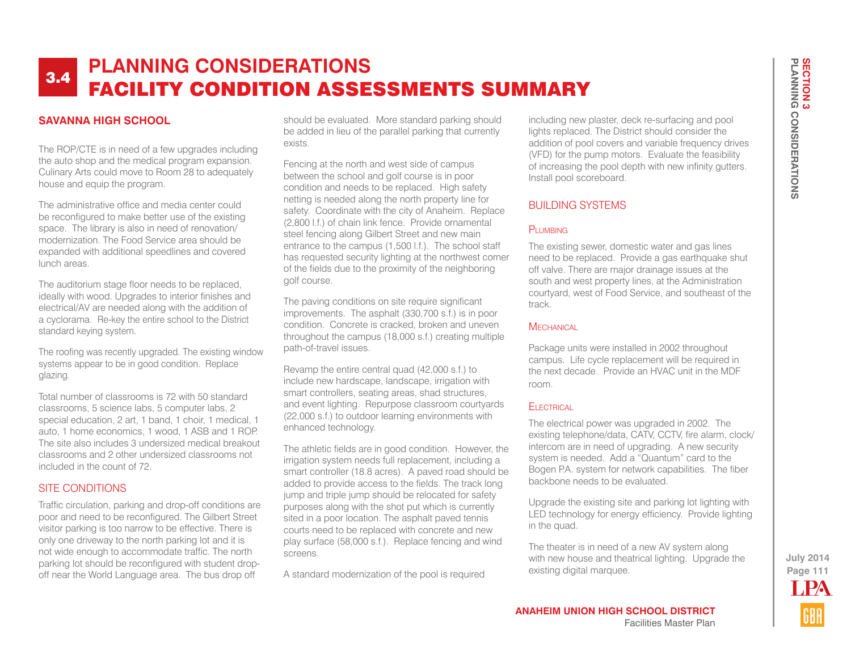### **SAVANNA HIGH SCHOOL**

The ROP/CTE is in need of a few upgrades including the auto shop and the medical program expansion. Culinary Arts could move to Room 28 to adequately house and equip the program.

The administrative office and media center could be reconfigured to make better use of the existing space. The library is also in need of renovation/ modernization. The Food Service area should be expanded with additional speedlines and covered lunch areas.

The auditorium stage floor needs to be replaced, ideally with wood. Upgrades to interior finishes and electrical/AV are needed along with the addition of a cyclorama. Re-key the entire school to the District standard keying system.

The roofing was recently upgraded. The existing window systems appear to be in good condition. Replace glazing.

Total number of classrooms is 72 with 50 standard classrooms, 5 science labs, 5 computer labs, 2 special education, 2 art, 1 band, 1 choir, 1 medical, 1 auto, 1 home economics, 1 wood, 1 ASB and 1 ROP. The site also includes 3 undersized medical breakout classrooms and 2 other undersized classrooms not included in the count of 72.

#### SITE CONDITIONS

Traffic circulation, parking and drop-off conditions are poor and need to be reconfigured. The Gilbert Street visitor parking is too narrow to be effective. There is only one driveway to the north parking lot and it is not wide enough to accommodate traffic. The north parking lot should be reconfigured with student dropoff near the World Language area. The bus drop off

should be evaluated. More standard parking should be added in lieu of the parallel parking that currently exists.

Fencing at the north and west side of campus between the school and golf course is in poor condition and needs to be replaced. High safety netting is needed along the north property line for safety. Coordinate with the city of Anaheim. Replace (2,800 l.f.) of chain link fence. Provide ornamental steel fencing along Gilbert Street and new main entrance to the campus (1,500 l.f.). The school staff has requested security lighting at the northwest corner of the fields due to the proximity of the neighboring golf course.

The paving conditions on site require significant improvements. The asphalt (330,700 s.f.) is in poor condition. Concrete is cracked, broken and uneven throughout the campus (18,000 s.f.) creating multiple path-of-travel issues.

Revamp the entire central quad (42,000 s.f.) to include new hardscape, landscape, irrigation with smart controllers, seating areas, shad structures, and event lighting. Repurpose classroom courtyards (22,000 s.f.) to outdoor learning environments with enhanced technology.

The athletic fields are in good condition. However, the irrigation system needs full replacement, including a smart controller (18.8 acres). A paved road should be added to provide access to the fields. The track long jump and triple jump should be relocated for safety purposes along with the shot put which is currently sited in a poor location. The asphalt paved tennis courts need to be replaced with concrete and new play surface (58,000 s.f.). Replace fencing and wind screens.

A standard modernization of the pool is required

including new plaster, deck re-surfacing and pool lights replaced. The District should consider the addition of pool covers and variable frequency drives (VFD) for the pump motors. Evaluate the feasibility of increasing the pool depth with new infinity gutters. Install pool scoreboard.

#### BUILDING SYSTEMS

#### PLUMBING

The existing sewer, domestic water and gas lines need to be replaced. Provide a gas earthquake shut off valve. There are major drainage issues at the south and west property lines, at the Administration courtyard, west of Food Service, and southeast of the track.

#### **MECHANICAL**

Package units were installed in 2002 throughout campus. Life cycle replacement will be required in the next decade. Provide an HVAC unit in the MDF room.

#### **FI ECTRICAL**

The electrical power was upgraded in 2002. The existing telephone/data, CATV, CCTV, fire alarm, clock/ intercom are in need of upgrading. A new security system is needed. Add a "Quantum" card to the Bogen P.A. system for network capabilities. The fiber backbone needs to be evaluated.

Upgrade the existing site and parking lot lighting with LED technology for energy efficiency. Provide lighting in the quad.

The theater is in need of a new AV system along with new house and theatrical lighting. Upgrade the existing digital marquee.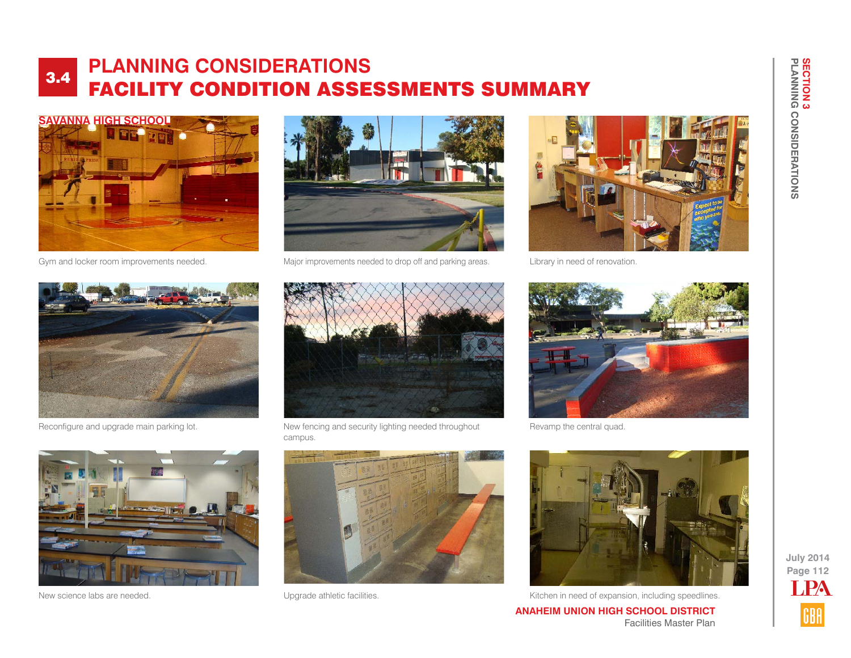





Gym and locker room improvements needed. Major improvements needed to drop off and parking areas.



Library in need of renovation.



Reconfigure and upgrade main parking lot. New fencing and security lighting needed throughout campus.



Revamp the central quad.







New science labs are needed. 
Subsetted at the subsetting the state of expansion, including speedlines.

**ANAHEIM UNION HIGH SCHOOL DISTRICT** Facilities Master Plan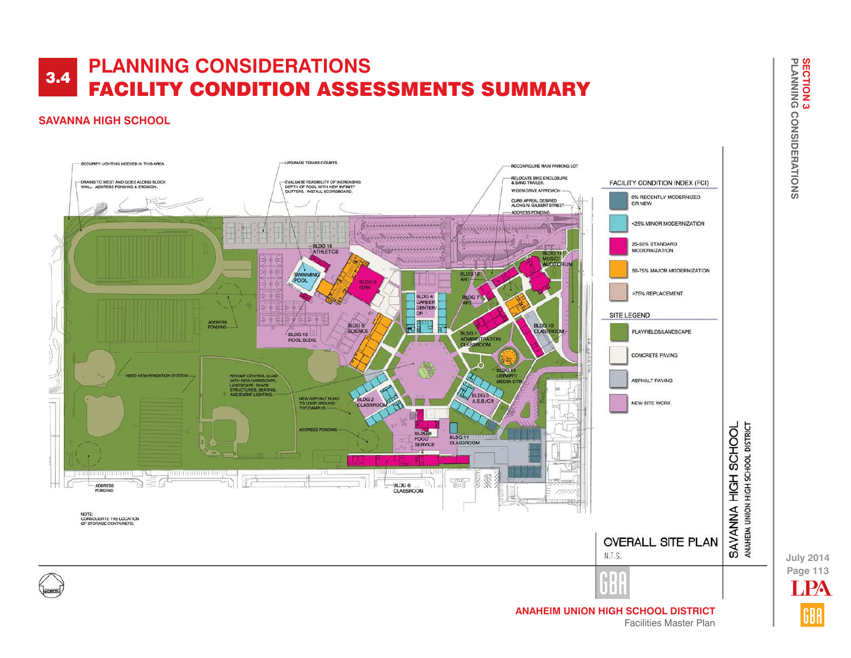## **SAVANNA HIGH SCHOOL**



**Page 113 July 2014** LPA